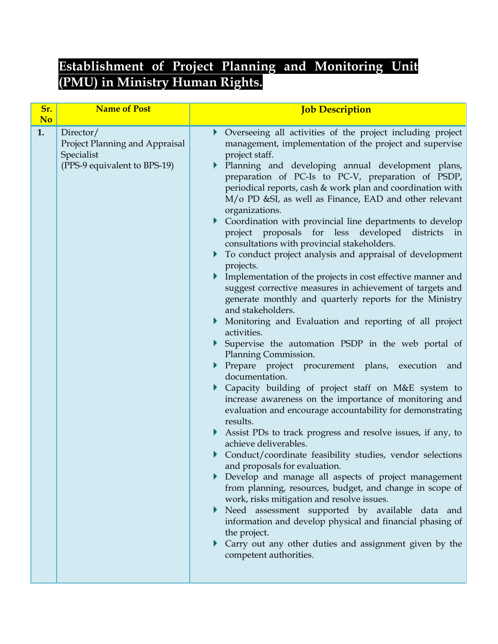## **Establishment of Project Planning and Monitoring Unit (PMU) in Ministry Human Rights.**

| No<br>• Overseeing all activities of the project including project<br>1.<br>Director/<br>management, implementation of the project and supervise<br>Project Planning and Appraisal<br>Specialist<br>project staff.                                                                                                                                                                                                                                                                                                                                                                                                                                                                                                                                                                                                                                                                                                                                                                                                                                                                                                                                                                                                                                                                                                                                                                                                                                                                                                                                                                                                                                                                                                                                             |
|----------------------------------------------------------------------------------------------------------------------------------------------------------------------------------------------------------------------------------------------------------------------------------------------------------------------------------------------------------------------------------------------------------------------------------------------------------------------------------------------------------------------------------------------------------------------------------------------------------------------------------------------------------------------------------------------------------------------------------------------------------------------------------------------------------------------------------------------------------------------------------------------------------------------------------------------------------------------------------------------------------------------------------------------------------------------------------------------------------------------------------------------------------------------------------------------------------------------------------------------------------------------------------------------------------------------------------------------------------------------------------------------------------------------------------------------------------------------------------------------------------------------------------------------------------------------------------------------------------------------------------------------------------------------------------------------------------------------------------------------------------------|
| (PPS-9 equivalent to BPS-19)<br>Planning and developing annual development plans,<br>Þ.<br>preparation of PC-Is to PC-V, preparation of PSDP,<br>periodical reports, cash & work plan and coordination with<br>M/o PD &SI, as well as Finance, EAD and other relevant<br>organizations.<br>• Coordination with provincial line departments to develop<br>project proposals for less developed districts<br>in<br>consultations with provincial stakeholders.<br>• To conduct project analysis and appraisal of development<br>projects.<br>Implementation of the projects in cost effective manner and<br>suggest corrective measures in achievement of targets and<br>generate monthly and quarterly reports for the Ministry<br>and stakeholders.<br>• Monitoring and Evaluation and reporting of all project<br>activities.<br>Supervise the automation PSDP in the web portal of<br>Planning Commission.<br>Prepare project procurement plans, execution and<br>documentation.<br>Capacity building of project staff on M&E system to<br>increase awareness on the importance of monitoring and<br>evaluation and encourage accountability for demonstrating<br>results.<br>Assist PDs to track progress and resolve issues, if any, to<br>achieve deliverables.<br>Conduct/coordinate feasibility studies, vendor selections<br>and proposals for evaluation.<br>Develop and manage all aspects of project management<br>from planning, resources, budget, and change in scope of<br>work, risks mitigation and resolve issues.<br>Need assessment supported by available data and<br>Þ.<br>information and develop physical and financial phasing of<br>the project.<br>Carry out any other duties and assignment given by the<br>competent authorities. |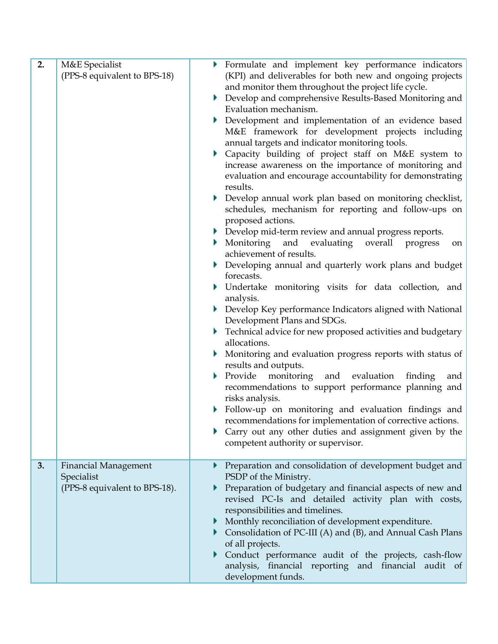| 2. | M&E Specialist<br>(PPS-8 equivalent to BPS-18)                             | Formulate and implement key performance indicators<br>(KPI) and deliverables for both new and ongoing projects<br>and monitor them throughout the project life cycle.<br>Develop and comprehensive Results-Based Monitoring and<br>Þ.<br>Evaluation mechanism.<br>Development and implementation of an evidence based<br>M&E framework for development projects including<br>annual targets and indicator monitoring tools.<br>Capacity building of project staff on M&E system to<br>increase awareness on the importance of monitoring and<br>evaluation and encourage accountability for demonstrating<br>results.<br>Develop annual work plan based on monitoring checklist,<br>schedules, mechanism for reporting and follow-ups on<br>proposed actions.<br>Develop mid-term review and annual progress reports.<br>evaluating overall<br>Monitoring<br>and<br>progress<br>on.<br>achievement of results.<br>Developing annual and quarterly work plans and budget<br>forecasts.<br>Undertake monitoring visits for data collection, and<br>analysis.<br>Develop Key performance Indicators aligned with National<br>Development Plans and SDGs.<br>Technical advice for new proposed activities and budgetary<br>allocations.<br>Monitoring and evaluation progress reports with status of<br>results and outputs.<br>Provide monitoring<br>and evaluation<br>finding<br>and<br>recommendations to support performance planning and<br>risks analysis.<br>Follow-up on monitoring and evaluation findings and |
|----|----------------------------------------------------------------------------|---------------------------------------------------------------------------------------------------------------------------------------------------------------------------------------------------------------------------------------------------------------------------------------------------------------------------------------------------------------------------------------------------------------------------------------------------------------------------------------------------------------------------------------------------------------------------------------------------------------------------------------------------------------------------------------------------------------------------------------------------------------------------------------------------------------------------------------------------------------------------------------------------------------------------------------------------------------------------------------------------------------------------------------------------------------------------------------------------------------------------------------------------------------------------------------------------------------------------------------------------------------------------------------------------------------------------------------------------------------------------------------------------------------------------------------------------------------------------------------------------------------------|
|    |                                                                            | recommendations for implementation of corrective actions.<br>Carry out any other duties and assignment given by the<br>competent authority or supervisor.                                                                                                                                                                                                                                                                                                                                                                                                                                                                                                                                                                                                                                                                                                                                                                                                                                                                                                                                                                                                                                                                                                                                                                                                                                                                                                                                                           |
| 3. | <b>Financial Management</b><br>Specialist<br>(PPS-8 equivalent to BPS-18). | Preparation and consolidation of development budget and<br>PSDP of the Ministry.<br>Preparation of budgetary and financial aspects of new and<br>revised PC-Is and detailed activity plan with costs,<br>responsibilities and timelines.<br>Monthly reconciliation of development expenditure.<br>• Consolidation of PC-III (A) and (B), and Annual Cash Plans<br>of all projects.<br>Conduct performance audit of the projects, cash-flow<br>analysis, financial reporting and financial audit of<br>development funds.                                                                                                                                                                                                                                                                                                                                                                                                                                                                                                                                                                                                                                                                                                                                                                                                                                                                                                                                                                                            |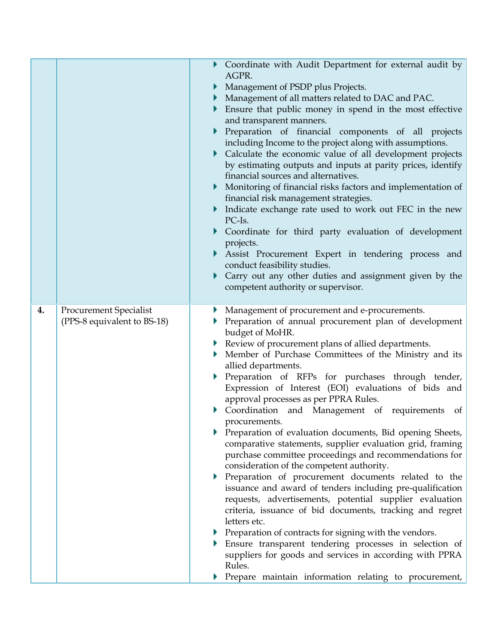|    |                                                              | • Coordinate with Audit Department for external audit by<br>AGPR.<br>Management of PSDP plus Projects.<br>Management of all matters related to DAC and PAC.<br>Ensure that public money in spend in the most effective<br>and transparent manners.<br>Preparation of financial components of all projects<br>including Income to the project along with assumptions.<br>• Calculate the economic value of all development projects<br>by estimating outputs and inputs at parity prices, identify<br>financial sources and alternatives.<br>Monitoring of financial risks factors and implementation of<br>financial risk management strategies.<br>Indicate exchange rate used to work out FEC in the new<br>PC-Is.<br>Coordinate for third party evaluation of development<br>projects.<br>Assist Procurement Expert in tendering process and<br>conduct feasibility studies.<br>Carry out any other duties and assignment given by the<br>competent authority or supervisor.                                                                                                                                                                                                                                                       |
|----|--------------------------------------------------------------|---------------------------------------------------------------------------------------------------------------------------------------------------------------------------------------------------------------------------------------------------------------------------------------------------------------------------------------------------------------------------------------------------------------------------------------------------------------------------------------------------------------------------------------------------------------------------------------------------------------------------------------------------------------------------------------------------------------------------------------------------------------------------------------------------------------------------------------------------------------------------------------------------------------------------------------------------------------------------------------------------------------------------------------------------------------------------------------------------------------------------------------------------------------------------------------------------------------------------------------|
| 4. | <b>Procurement Specialist</b><br>(PPS-8 equivalent to BS-18) | Management of procurement and e-procurements.<br>Preparation of annual procurement plan of development<br>budget of MoHR.<br>Review of procurement plans of allied departments.<br>Member of Purchase Committees of the Ministry and its<br>allied departments.<br>Preparation of RFPs for purchases through tender,<br>Expression of Interest (EOI) evaluations of bids and<br>approval processes as per PPRA Rules.<br>Coordination and Management of requirements of<br>procurements.<br>Preparation of evaluation documents, Bid opening Sheets,<br>comparative statements, supplier evaluation grid, framing<br>purchase committee proceedings and recommendations for<br>consideration of the competent authority.<br>Preparation of procurement documents related to the<br>issuance and award of tenders including pre-qualification<br>requests, advertisements, potential supplier evaluation<br>criteria, issuance of bid documents, tracking and regret<br>letters etc.<br>Preparation of contracts for signing with the vendors.<br>Ensure transparent tendering processes in selection of<br>suppliers for goods and services in according with PPRA<br>Rules.<br>Prepare maintain information relating to procurement, |